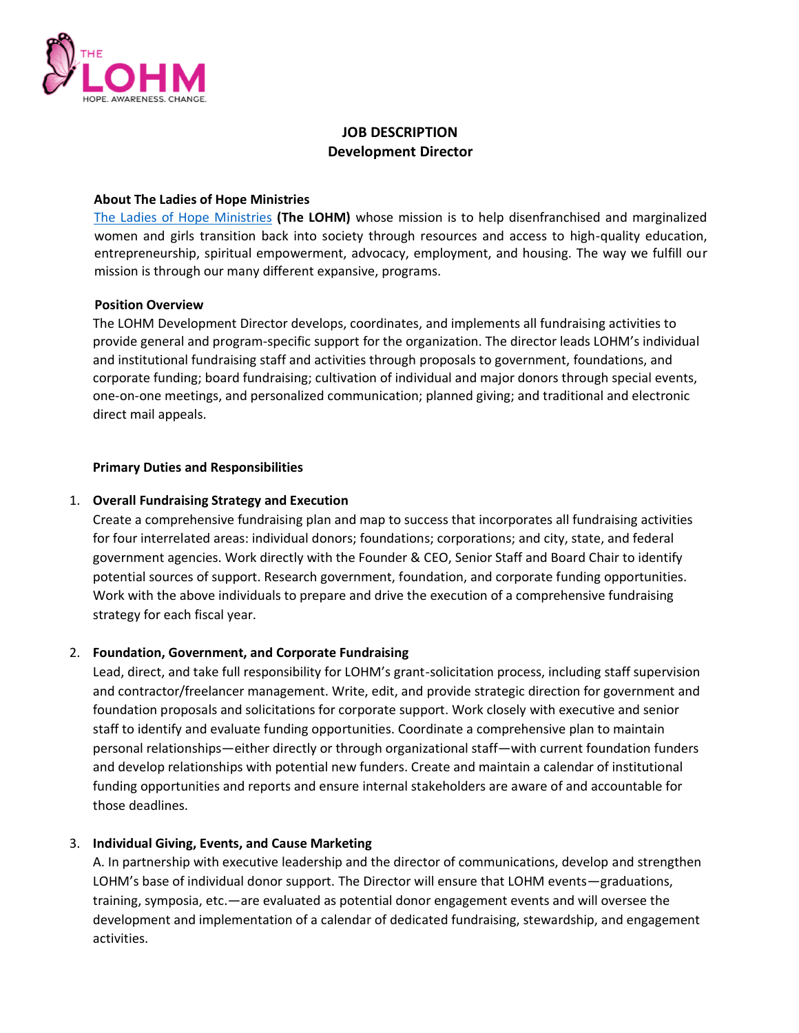

# **JOB DESCRIPTION Development Director**

#### **About The Ladies of Hope Ministries**

The Ladies of Hope Ministries **(The LOHM)** whose mission is to help disenfranchised and marginalized women and girls transition back into society through resources and access to high-quality education, entrepreneurship, spiritual empowerment, advocacy, employment, and housing. The way we fulfill our mission is through our many different expansive, programs.

#### **Position Overview**

The LOHM Development Director develops, coordinates, and implements all fundraising activities to provide general and program-specific support for the organization. The director leads LOHM's individual and institutional fundraising staff and activities through proposals to government, foundations, and corporate funding; board fundraising; cultivation of individual and major donors through special events, one-on-one meetings, and personalized communication; planned giving; and traditional and electronic direct mail appeals.

## **Primary Duties and Responsibilities**

## 1. **Overall Fundraising Strategy and Execution**

Create a comprehensive fundraising plan and map to success that incorporates all fundraising activities for four interrelated areas: individual donors; foundations; corporations; and city, state, and federal government agencies. Work directly with the Founder & CEO, Senior Staff and Board Chair to identify potential sources of support. Research government, foundation, and corporate funding opportunities. Work with the above individuals to prepare and drive the execution of a comprehensive fundraising strategy for each fiscal year.

## 2. **Foundation, Government, and Corporate Fundraising**

Lead, direct, and take full responsibility for LOHM's grant-solicitation process, including staff supervision and contractor/freelancer management. Write, edit, and provide strategic direction for government and foundation proposals and solicitations for corporate support. Work closely with executive and senior staff to identify and evaluate funding opportunities. Coordinate a comprehensive plan to maintain personal relationships—either directly or through organizational staff—with current foundation funders and develop relationships with potential new funders. Create and maintain a calendar of institutional funding opportunities and reports and ensure internal stakeholders are aware of and accountable for those deadlines.

## 3. **Individual Giving, Events, and Cause Marketing**

A. In partnership with executive leadership and the director of communications, develop and strengthen LOHM's base of individual donor support. The Director will ensure that LOHM events—graduations, training, symposia, etc.—are evaluated as potential donor engagement events and will oversee the development and implementation of a calendar of dedicated fundraising, stewardship, and engagement activities.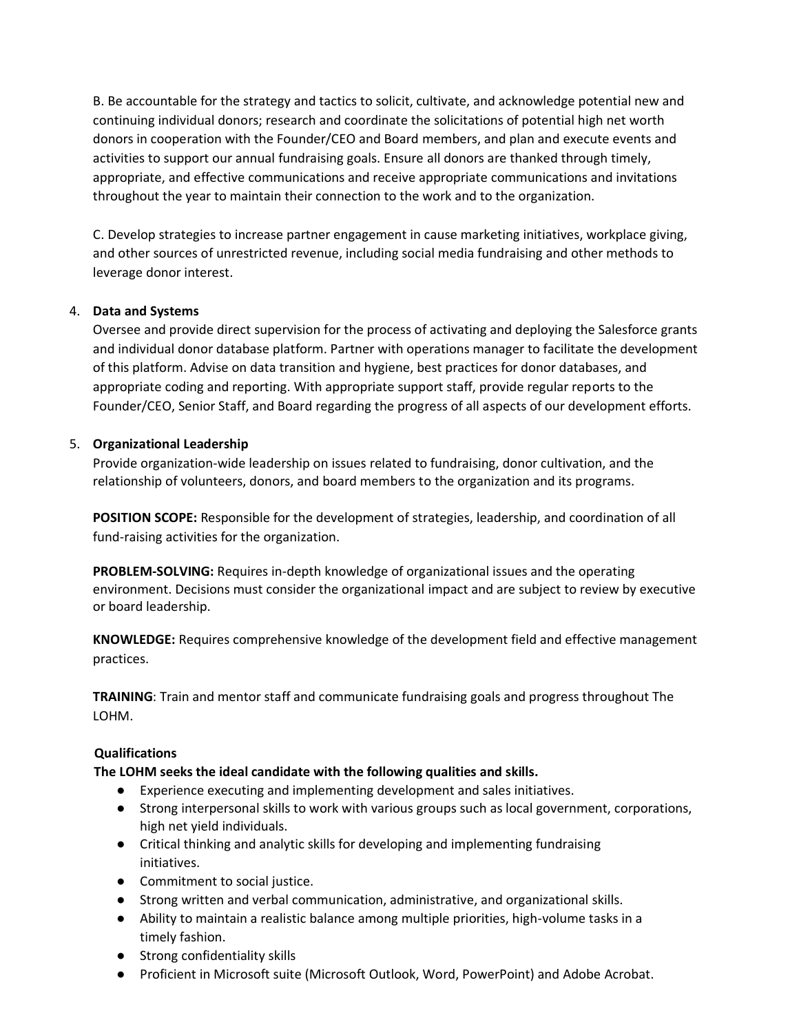B. Be accountable for the strategy and tactics to solicit, cultivate, and acknowledge potential new and continuing individual donors; research and coordinate the solicitations of potential high net worth donors in cooperation with the Founder/CEO and Board members, and plan and execute events and activities to support our annual fundraising goals. Ensure all donors are thanked through timely, appropriate, and effective communications and receive appropriate communications and invitations throughout the year to maintain their connection to the work and to the organization.

C. Develop strategies to increase partner engagement in cause marketing initiatives, workplace giving, and other sources of unrestricted revenue, including social media fundraising and other methods to leverage donor interest.

# 4. **Data and Systems**

Oversee and provide direct supervision for the process of activating and deploying the Salesforce grants and individual donor database platform. Partner with operations manager to facilitate the development of this platform. Advise on data transition and hygiene, best practices for donor databases, and appropriate coding and reporting. With appropriate support staff, provide regular reports to the Founder/CEO, Senior Staff, and Board regarding the progress of all aspects of our development efforts.

# 5. **Organizational Leadership**

Provide organization-wide leadership on issues related to fundraising, donor cultivation, and the relationship of volunteers, donors, and board members to the organization and its programs.

**POSITION SCOPE:** Responsible for the development of strategies, leadership, and coordination of all fund-raising activities for the organization.

**PROBLEM-SOLVING:** Requires in-depth knowledge of organizational issues and the operating environment. Decisions must consider the organizational impact and are subject to review by executive or board leadership.

**KNOWLEDGE:** Requires comprehensive knowledge of the development field and effective management practices.

**TRAINING**: Train and mentor staff and communicate fundraising goals and progress throughout The LOHM.

# **Qualifications**

**The LOHM seeks the ideal candidate with the following qualities and skills.** 

- Experience executing and implementing development and sales initiatives.
- Strong interpersonal skills to work with various groups such as local government, corporations, high net yield individuals.
- Critical thinking and analytic skills for developing and implementing fundraising initiatives.
- Commitment to social justice.
- Strong written and verbal communication, administrative, and organizational skills.
- Ability to maintain a realistic balance among multiple priorities, high-volume tasks in a timely fashion.
- Strong confidentiality skills
- Proficient in Microsoft suite (Microsoft Outlook, Word, PowerPoint) and Adobe Acrobat.